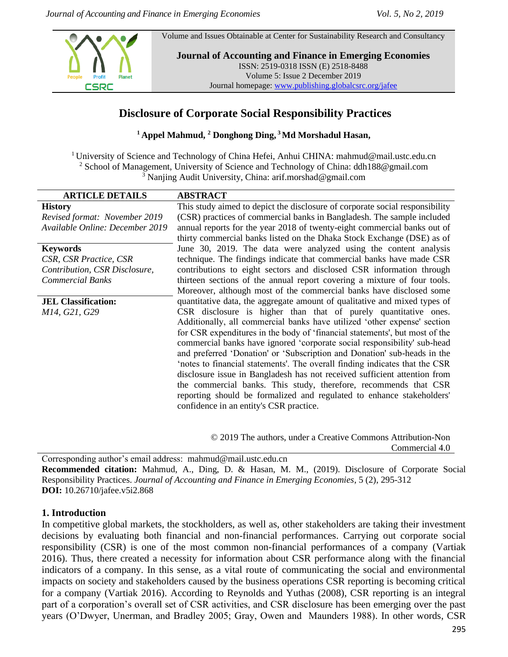Volume and Issues Obtainable at Center for Sustainability Research and Consultancy



**Journal of Accounting and Finance in Emerging Economies** ISSN: 2519-0318 ISSN (E) 2518-8488 Volume 5: Issue 2 December 2019 Journal homepage: [www.publishing.globalcsrc.org/jafee](http://www.publishing.globalcsrc.org/jafee)

# **Disclosure of Corporate Social Responsibility Practices**

**<sup>1</sup> Appel Mahmud, <sup>2</sup> Donghong Ding, <sup>3</sup>Md Morshadul Hasan,** 

<sup>1</sup> University of Science and Technology of China Hefei, Anhui CHINA: mahmud@mail.ustc.edu.cn <sup>2</sup> School of Management, University of Science and Technology of China: ddh188@gmail.com <sup>3</sup> Nanjing Audit University, China: arif.morshad@gmail.com

| <b>ARTICLE DETAILS</b>          | <b>ABSTRACT</b>                                                              |
|---------------------------------|------------------------------------------------------------------------------|
| <b>History</b>                  | This study aimed to depict the disclosure of corporate social responsibility |
| Revised format: November 2019   | (CSR) practices of commercial banks in Bangladesh. The sample included       |
| Available Online: December 2019 | annual reports for the year 2018 of twenty-eight commercial banks out of     |
|                                 | thirty commercial banks listed on the Dhaka Stock Exchange (DSE) as of       |
| <b>Keywords</b>                 | June 30, 2019. The data were analyzed using the content analysis             |
| CSR, CSR Practice, CSR          | technique. The findings indicate that commercial banks have made CSR         |
| Contribution, CSR Disclosure,   | contributions to eight sectors and disclosed CSR information through         |
| <b>Commercial Banks</b>         | thirteen sections of the annual report covering a mixture of four tools.     |
|                                 | Moreover, although most of the commercial banks have disclosed some          |
| <b>JEL Classification:</b>      | quantitative data, the aggregate amount of qualitative and mixed types of    |
| M14, G21, G29                   | CSR disclosure is higher than that of purely quantitative ones.              |
|                                 | Additionally, all commercial banks have utilized 'other expense' section     |
|                                 | for CSR expenditures in the body of 'financial statements', but most of the  |
|                                 | commercial banks have ignored 'corporate social responsibility' sub-head     |
|                                 | and preferred 'Donation' or 'Subscription and Donation' sub-heads in the     |
|                                 | 'notes to financial statements'. The overall finding indicates that the CSR  |
|                                 | disclosure issue in Bangladesh has not received sufficient attention from    |
|                                 | the commercial banks. This study, therefore, recommends that CSR             |
|                                 | reporting should be formalized and regulated to enhance stakeholders'        |
|                                 | confidence in an entity's CSR practice.                                      |
|                                 |                                                                              |
|                                 |                                                                              |

© 2019 The authors, under a Creative Commons Attribution-Non Commercial 4.0

Corresponding author's email address: mahmud@mail.ustc.edu.cn **Recommended citation:** Mahmud, A., Ding, D. & Hasan, M. M., (2019). Disclosure of Corporate Social Responsibility Practices. *Journal of Accounting and Finance in Emerging Economies*, 5 (2), 295-312 **DOI:** 10.26710/jafee.v5i2.868

# **1. Introduction**

In competitive global markets, the stockholders, as well as, other stakeholders are taking their investment decisions by evaluating both financial and non-financial performances. Carrying out corporate social responsibility (CSR) is one of the most common non-financial performances of a company (Vartiak 2016). Thus, there created a necessity for information about CSR performance along with the financial indicators of a company. In this sense, as a vital route of communicating the social and environmental impacts on society and stakeholders caused by the business operations CSR reporting is becoming critical for a company (Vartiak 2016). According to Reynolds and Yuthas (2008), CSR reporting is an integral part of a corporation's overall set of CSR activities, and CSR disclosure has been emerging over the past years (O'Dwyer, Unerman, and Bradley 2005; Gray, Owen and Maunders 1988). In other words, CSR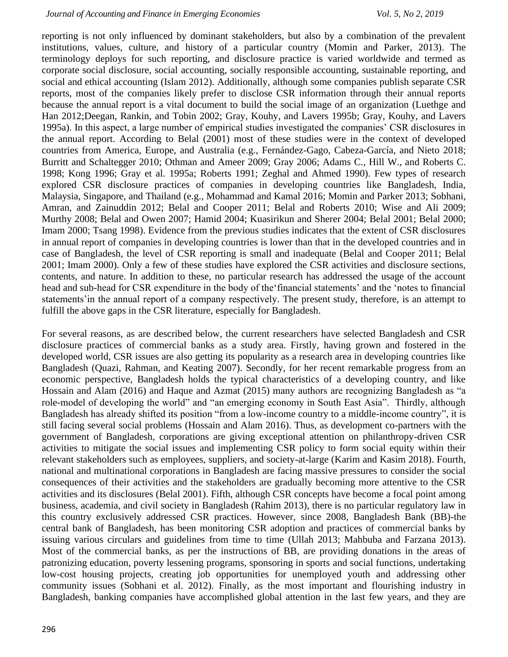reporting is not only influenced by dominant stakeholders, but also by a combination of the prevalent institutions, values, culture, and history of a particular country (Momin and Parker, 2013). The terminology deploys for such reporting, and disclosure practice is varied worldwide and termed as corporate social disclosure, social accounting, socially responsible accounting, sustainable reporting, and social and ethical accounting (Islam 2012). Additionally, although some companies publish separate CSR reports, most of the companies likely prefer to disclose CSR information through their annual reports because the annual report is a vital document to build the social image of an organization (Luethge and Han 2012;Deegan, Rankin, and Tobin 2002; Gray, Kouhy, and Lavers 1995b; Gray, Kouhy, and Lavers 1995a). In this aspect, a large number of empirical studies investigated the companies' CSR disclosures in the annual report. According to Belal (2001) most of these studies were in the context of developed countries from America, Europe, and Australia (e.g., Fernández-Gago, Cabeza-García, and Nieto 2018; Burritt and Schaltegger 2010; Othman and Ameer 2009; Gray 2006; Adams C., Hill W., and Roberts C. 1998; Kong 1996; Gray et al. 1995a; Roberts 1991; Zeghal and Ahmed 1990). Few types of research explored CSR disclosure practices of companies in developing countries like Bangladesh, India, Malaysia, Singapore, and Thailand (e.g., Mohammad and Kamal 2016; Momin and Parker 2013; Sobhani, Amran, and Zainuddin 2012; Belal and Cooper 2011; Belal and Roberts 2010; Wise and Ali 2009; Murthy 2008; Belal and Owen 2007; Hamid 2004; Kuasirikun and Sherer 2004; Belal 2001; Belal 2000; Imam 2000; Tsang 1998). Evidence from the previous studies indicates that the extent of CSR disclosures in annual report of companies in developing countries is lower than that in the developed countries and in case of Bangladesh, the level of CSR reporting is small and inadequate (Belal and Cooper 2011; Belal 2001; Imam 2000). Only a few of these studies have explored the CSR activities and disclosure sections, contents, and nature. In addition to these, no particular research has addressed the usage of the account head and sub-head for CSR expenditure in the body of the'financial statements' and the 'notes to financial statements'in the annual report of a company respectively. The present study, therefore, is an attempt to fulfill the above gaps in the CSR literature, especially for Bangladesh.

For several reasons, as are described below, the current researchers have selected Bangladesh and CSR disclosure practices of commercial banks as a study area. Firstly, having grown and fostered in the developed world, CSR issues are also getting its popularity as a research area in developing countries like Bangladesh (Quazi, Rahman, and Keating 2007). Secondly, for her recent remarkable progress from an economic perspective, Bangladesh holds the typical characteristics of a developing country, and like Hossain and Alam (2016) and Haque and Azmat (2015) many authors are recognizing Bangladesh as "a role-model of developing the world" and "an emerging economy in South East Asia". Thirdly, although Bangladesh has already shifted its position "from a low-income country to a middle-income country", it is still facing several social problems (Hossain and Alam 2016). Thus, as development co-partners with the government of Bangladesh, corporations are giving exceptional attention on philanthropy-driven CSR activities to mitigate the social issues and implementing CSR policy to form social equity within their relevant stakeholders such as employees, suppliers, and society-at-large (Karim and Kasim 2018). Fourth, national and multinational corporations in Bangladesh are facing massive pressures to consider the social consequences of their activities and the stakeholders are gradually becoming more attentive to the CSR activities and its disclosures (Belal 2001). Fifth, although CSR concepts have become a focal point among business, academia, and civil society in Bangladesh (Rahim 2013), there is no particular regulatory law in this country exclusively addressed CSR practices. However, since 2008, Bangladesh Bank (BB)-the central bank of Bangladesh, has been monitoring CSR adoption and practices of commercial banks by issuing various circulars and guidelines from time to time (Ullah 2013; Mahbuba and Farzana 2013). Most of the commercial banks, as per the instructions of BB, are providing donations in the areas of patronizing education, poverty lessening programs, sponsoring in sports and social functions, undertaking low-cost housing projects, creating job opportunities for unemployed youth and addressing other community issues (Sobhani et al. 2012). Finally, as the most important and flourishing industry in Bangladesh, banking companies have accomplished global attention in the last few years, and they are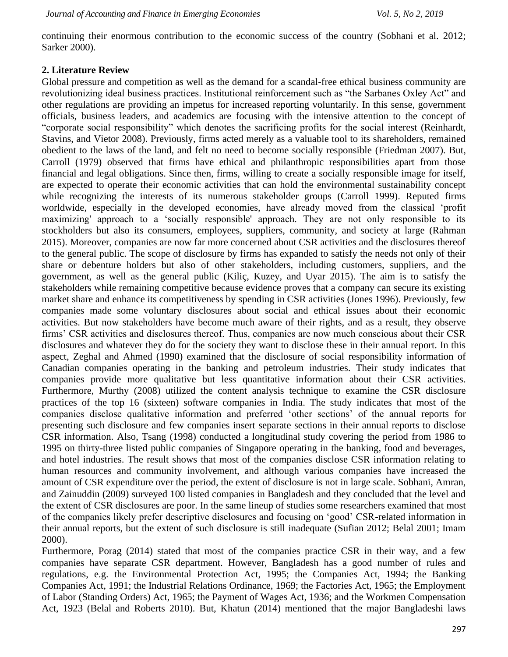continuing their enormous contribution to the economic success of the country (Sobhani et al. 2012; Sarker 2000).

## **2. Literature Review**

Global pressure and competition as well as the demand for a scandal-free ethical business community are revolutionizing ideal business practices. Institutional reinforcement such as "the Sarbanes Oxley Act" and other regulations are providing an impetus for increased reporting voluntarily. In this sense, government officials, business leaders, and academics are focusing with the intensive attention to the concept of "corporate social responsibility" which denotes the sacrificing profits for the social interest (Reinhardt, Stavins, and Vietor 2008). Previously, firms acted merely as a valuable tool to its shareholders, remained obedient to the laws of the land, and felt no need to become socially responsible (Friedman 2007). But, Carroll (1979) observed that firms have ethical and philanthropic responsibilities apart from those financial and legal obligations. Since then, firms, willing to create a socially responsible image for itself, are expected to operate their economic activities that can hold the environmental sustainability concept while recognizing the interests of its numerous stakeholder groups (Carroll 1999). Reputed firms worldwide, especially in the developed economies, have already moved from the classical 'profit maximizing' approach to a 'socially responsible' approach. They are not only responsible to its stockholders but also its consumers, employees, suppliers, community, and society at large (Rahman 2015). Moreover, companies are now far more concerned about CSR activities and the disclosures thereof to the general public. The scope of disclosure by firms has expanded to satisfy the needs not only of their share or debenture holders but also of other stakeholders, including customers, suppliers, and the government, as well as the general public (Kiliç, Kuzey, and Uyar 2015). The aim is to satisfy the stakeholders while remaining competitive because evidence proves that a company can secure its existing market share and enhance its competitiveness by spending in CSR activities (Jones 1996). Previously, few companies made some voluntary disclosures about social and ethical issues about their economic activities. But now stakeholders have become much aware of their rights, and as a result, they observe firms' CSR activities and disclosures thereof. Thus, companies are now much conscious about their CSR disclosures and whatever they do for the society they want to disclose these in their annual report. In this aspect, Zeghal and Ahmed (1990) examined that the disclosure of social responsibility information of Canadian companies operating in the banking and petroleum industries. Their study indicates that companies provide more qualitative but less quantitative information about their CSR activities. Furthermore, Murthy (2008) utilized the content analysis technique to examine the CSR disclosure practices of the top 16 (sixteen) software companies in India. The study indicates that most of the companies disclose qualitative information and preferred 'other sections' of the annual reports for presenting such disclosure and few companies insert separate sections in their annual reports to disclose CSR information. Also, Tsang (1998) conducted a longitudinal study covering the period from 1986 to 1995 on thirty-three listed public companies of Singapore operating in the banking, food and beverages, and hotel industries. The result shows that most of the companies disclose CSR information relating to human resources and community involvement, and although various companies have increased the amount of CSR expenditure over the period, the extent of disclosure is not in large scale. Sobhani, Amran, and Zainuddin (2009) surveyed 100 listed companies in Bangladesh and they concluded that the level and the extent of CSR disclosures are poor. In the same lineup of studies some researchers examined that most of the companies likely prefer descriptive disclosures and focusing on 'good' CSR-related information in their annual reports, but the extent of such disclosure is still inadequate (Sufian 2012; Belal 2001; Imam 2000).

Furthermore, Porag (2014) stated that most of the companies practice CSR in their way, and a few companies have separate CSR department. However, Bangladesh has a good number of rules and regulations, e.g. the Environmental Protection Act, 1995; the Companies Act, 1994; the Banking Companies Act, 1991; the Industrial Relations Ordinance, 1969; the Factories Act, 1965; the Employment of Labor (Standing Orders) Act, 1965; the Payment of Wages Act, 1936; and the Workmen Compensation Act, 1923 (Belal and Roberts 2010). But, Khatun (2014) mentioned that the major Bangladeshi laws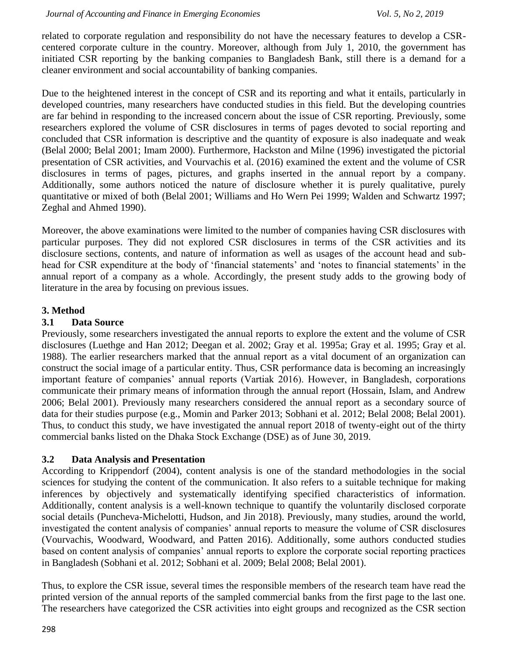related to corporate regulation and responsibility do not have the necessary features to develop a CSRcentered corporate culture in the country. Moreover, although from July 1, 2010, the government has initiated CSR reporting by the banking companies to Bangladesh Bank, still there is a demand for a cleaner environment and social accountability of banking companies.

Due to the heightened interest in the concept of CSR and its reporting and what it entails, particularly in developed countries, many researchers have conducted studies in this field. But the developing countries are far behind in responding to the increased concern about the issue of CSR reporting. Previously, some researchers explored the volume of CSR disclosures in terms of pages devoted to social reporting and concluded that CSR information is descriptive and the quantity of exposure is also inadequate and weak (Belal 2000; Belal 2001; Imam 2000). Furthermore, Hackston and Milne (1996) investigated the pictorial presentation of CSR activities, and Vourvachis et al. (2016) examined the extent and the volume of CSR disclosures in terms of pages, pictures, and graphs inserted in the annual report by a company. Additionally, some authors noticed the nature of disclosure whether it is purely qualitative, purely quantitative or mixed of both (Belal 2001; Williams and Ho Wern Pei 1999; Walden and Schwartz 1997; Zeghal and Ahmed 1990).

Moreover, the above examinations were limited to the number of companies having CSR disclosures with particular purposes. They did not explored CSR disclosures in terms of the CSR activities and its disclosure sections, contents, and nature of information as well as usages of the account head and subhead for CSR expenditure at the body of 'financial statements' and 'notes to financial statements' in the annual report of a company as a whole. Accordingly, the present study adds to the growing body of literature in the area by focusing on previous issues.

## **3. Method**

## **3.1 Data Source**

Previously, some researchers investigated the annual reports to explore the extent and the volume of CSR disclosures (Luethge and Han 2012; Deegan et al. 2002; Gray et al. 1995a; Gray et al. 1995; Gray et al. 1988). The earlier researchers marked that the annual report as a vital document of an organization can construct the social image of a particular entity. Thus, CSR performance data is becoming an increasingly important feature of companies' annual reports (Vartiak 2016). However, in Bangladesh, corporations communicate their primary means of information through the annual report (Hossain, Islam, and Andrew 2006; Belal 2001). Previously many researchers considered the annual report as a secondary source of data for their studies purpose (e.g., Momin and Parker 2013; Sobhani et al. 2012; Belal 2008; Belal 2001). Thus, to conduct this study, we have investigated the annual report 2018 of twenty-eight out of the thirty commercial banks listed on the Dhaka Stock Exchange (DSE) as of June 30, 2019.

#### **3.2 Data Analysis and Presentation**

According to Krippendorf (2004), content analysis is one of the standard methodologies in the social sciences for studying the content of the communication. It also refers to a suitable technique for making inferences by objectively and systematically identifying specified characteristics of information. Additionally, content analysis is a well-known technique to quantify the voluntarily disclosed corporate social details (Puncheva-Michelotti, Hudson, and Jin 2018). Previously, many studies, around the world, investigated the content analysis of companies' annual reports to measure the volume of CSR disclosures (Vourvachis, Woodward, Woodward, and Patten 2016). Additionally, some authors conducted studies based on content analysis of companies' annual reports to explore the corporate social reporting practices in Bangladesh (Sobhani et al. 2012; Sobhani et al. 2009; Belal 2008; Belal 2001).

Thus, to explore the CSR issue, several times the responsible members of the research team have read the printed version of the annual reports of the sampled commercial banks from the first page to the last one. The researchers have categorized the CSR activities into eight groups and recognized as the CSR section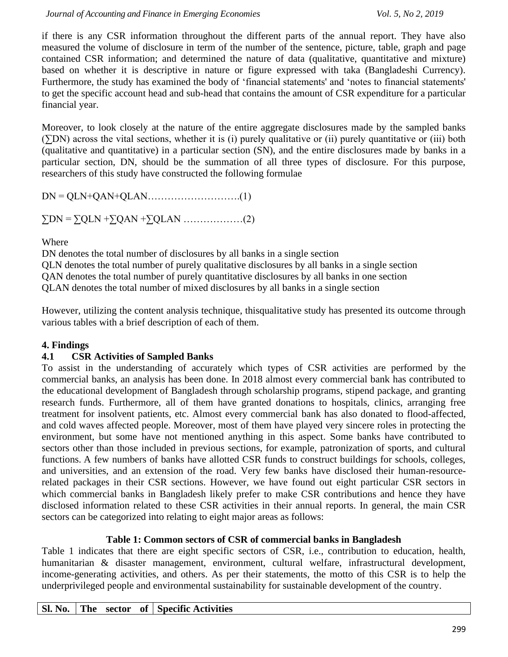if there is any CSR information throughout the different parts of the annual report. They have also measured the volume of disclosure in term of the number of the sentence, picture, table, graph and page contained CSR information; and determined the nature of data (qualitative, quantitative and mixture) based on whether it is descriptive in nature or figure expressed with taka (Bangladeshi Currency). Furthermore, the study has examined the body of 'financial statements' and 'notes to financial statements' to get the specific account head and sub-head that contains the amount of CSR expenditure for a particular financial year.

Moreover, to look closely at the nature of the entire aggregate disclosures made by the sampled banks (∑DN) across the vital sections, whether it is (i) purely qualitative or (ii) purely quantitative or (iii) both (qualitative and quantitative) in a particular section (SN), and the entire disclosures made by banks in a particular section, DN, should be the summation of all three types of disclosure. For this purpose, researchers of this study have constructed the following formulae

DN = QLN+QAN+QLAN……………………….(1)

∑DN = ∑QLN +∑QAN +∑QLAN ………………(2)

Where

DN denotes the total number of disclosures by all banks in a single section QLN denotes the total number of purely qualitative disclosures by all banks in a single section QAN denotes the total number of purely quantitative disclosures by all banks in one section QLAN denotes the total number of mixed disclosures by all banks in a single section

However, utilizing the content analysis technique, thisqualitative study has presented its outcome through various tables with a brief description of each of them.

# **4. Findings**

# **4.1 CSR Activities of Sampled Banks**

To assist in the understanding of accurately which types of CSR activities are performed by the commercial banks, an analysis has been done. In 2018 almost every commercial bank has contributed to the educational development of Bangladesh through scholarship programs, stipend package, and granting research funds. Furthermore, all of them have granted donations to hospitals, clinics, arranging free treatment for insolvent patients, etc. Almost every commercial bank has also donated to flood-affected, and cold waves affected people. Moreover, most of them have played very sincere roles in protecting the environment, but some have not mentioned anything in this aspect. Some banks have contributed to sectors other than those included in previous sections, for example, patronization of sports, and cultural functions. A few numbers of banks have allotted CSR funds to construct buildings for schools, colleges, and universities, and an extension of the road. Very few banks have disclosed their human-resourcerelated packages in their CSR sections. However, we have found out eight particular CSR sectors in which commercial banks in Bangladesh likely prefer to make CSR contributions and hence they have disclosed information related to these CSR activities in their annual reports. In general, the main CSR sectors can be categorized into relating to eight major areas as follows:

# **Table 1: Common sectors of CSR of commercial banks in Bangladesh**

Table 1 indicates that there are eight specific sectors of CSR, i.e., contribution to education, health, humanitarian & disaster management, environment, cultural welfare, infrastructural development, income-generating activities, and others. As per their statements, the motto of this CSR is to help the underprivileged people and environmental sustainability for sustainable development of the country.

# **Sl. No.** The sector of Specific Activities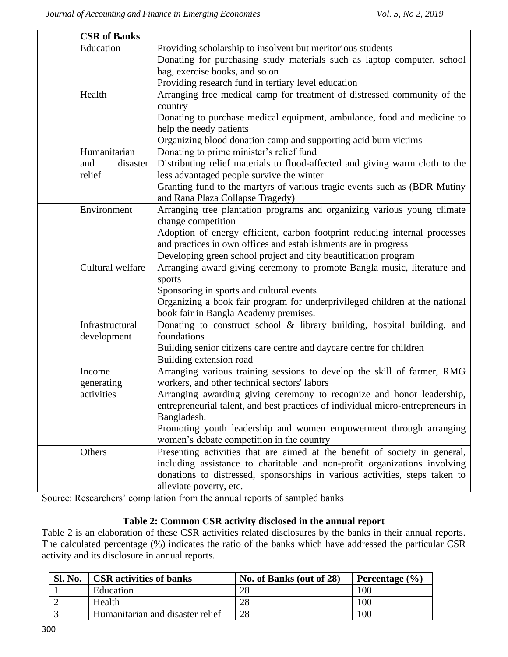| <b>CSR</b> of Banks |                                                                                 |  |  |
|---------------------|---------------------------------------------------------------------------------|--|--|
| Education           | Providing scholarship to insolvent but meritorious students                     |  |  |
|                     | Donating for purchasing study materials such as laptop computer, school         |  |  |
|                     | bag, exercise books, and so on                                                  |  |  |
|                     | Providing research fund in tertiary level education                             |  |  |
| Health              | Arranging free medical camp for treatment of distressed community of the        |  |  |
|                     | country                                                                         |  |  |
|                     | Donating to purchase medical equipment, ambulance, food and medicine to         |  |  |
|                     | help the needy patients                                                         |  |  |
|                     | Organizing blood donation camp and supporting acid burn victims                 |  |  |
| Humanitarian        | Donating to prime minister's relief fund                                        |  |  |
| disaster<br>and     | Distributing relief materials to flood-affected and giving warm cloth to the    |  |  |
| relief              | less advantaged people survive the winter                                       |  |  |
|                     | Granting fund to the martyrs of various tragic events such as (BDR Mutiny       |  |  |
|                     | and Rana Plaza Collapse Tragedy)                                                |  |  |
| Environment         | Arranging tree plantation programs and organizing various young climate         |  |  |
|                     | change competition                                                              |  |  |
|                     | Adoption of energy efficient, carbon footprint reducing internal processes      |  |  |
|                     | and practices in own offices and establishments are in progress                 |  |  |
|                     | Developing green school project and city beautification program                 |  |  |
| Cultural welfare    | Arranging award giving ceremony to promote Bangla music, literature and         |  |  |
|                     | sports                                                                          |  |  |
|                     | Sponsoring in sports and cultural events                                        |  |  |
|                     | Organizing a book fair program for underprivileged children at the national     |  |  |
|                     | book fair in Bangla Academy premises.                                           |  |  |
| Infrastructural     | Donating to construct school & library building, hospital building, and         |  |  |
| development         | foundations                                                                     |  |  |
|                     | Building senior citizens care centre and daycare centre for children            |  |  |
|                     | Building extension road                                                         |  |  |
| Income              | Arranging various training sessions to develop the skill of farmer, RMG         |  |  |
| generating          | workers, and other technical sectors' labors                                    |  |  |
| activities          | Arranging awarding giving ceremony to recognize and honor leadership,           |  |  |
|                     | entrepreneurial talent, and best practices of individual micro-entrepreneurs in |  |  |
|                     | Bangladesh.                                                                     |  |  |
|                     | Promoting youth leadership and women empowerment through arranging              |  |  |
|                     | women's debate competition in the country                                       |  |  |
| Others              | Presenting activities that are aimed at the benefit of society in general,      |  |  |
|                     | including assistance to charitable and non-profit organizations involving       |  |  |
|                     | donations to distressed, sponsorships in various activities, steps taken to     |  |  |
|                     | alleviate poverty, etc.                                                         |  |  |

Source: Researchers' compilation from the annual reports of sampled banks

# **Table 2: Common CSR activity disclosed in the annual report**

Table 2 is an elaboration of these CSR activities related disclosures by the banks in their annual reports. The calculated percentage (%) indicates the ratio of the banks which have addressed the particular CSR activity and its disclosure in annual reports.

| <b>Sl. No.</b> | <b>CSR</b> activities of banks   | No. of Banks (out of 28) | Percentage $(\% )$ |
|----------------|----------------------------------|--------------------------|--------------------|
|                | Education                        | 28                       | 100                |
|                | Health                           | 28                       | 100                |
|                | Humanitarian and disaster relief | 28                       | 100                |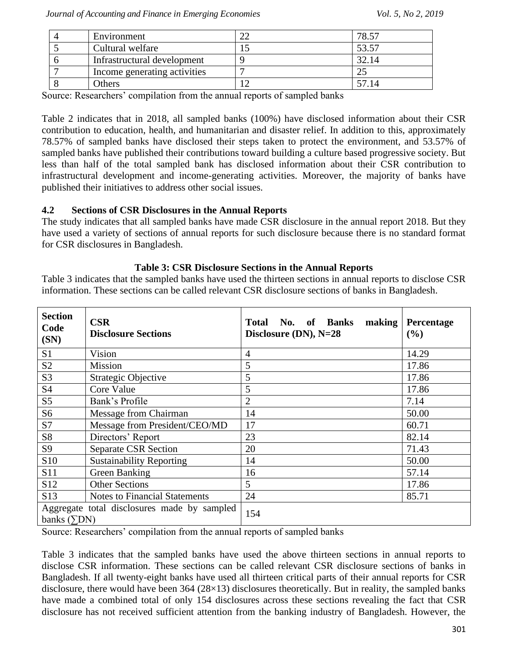| Environment                  | 70 5 <sup>-</sup> |
|------------------------------|-------------------|
| Cultural welfare             | 53.57             |
| Infrastructural development  |                   |
| Income generating activities |                   |
| Others                       |                   |

Source: Researchers' compilation from the annual reports of sampled banks

Table 2 indicates that in 2018, all sampled banks (100%) have disclosed information about their CSR contribution to education, health, and humanitarian and disaster relief. In addition to this, approximately 78.57% of sampled banks have disclosed their steps taken to protect the environment, and 53.57% of sampled banks have published their contributions toward building a culture based progressive society. But less than half of the total sampled bank has disclosed information about their CSR contribution to infrastructural development and income-generating activities. Moreover, the majority of banks have published their initiatives to address other social issues.

## **4.2 Sections of CSR Disclosures in the Annual Reports**

The study indicates that all sampled banks have made CSR disclosure in the annual report 2018. But they have used a variety of sections of annual reports for such disclosure because there is no standard format for CSR disclosures in Bangladesh.

# **Table 3: CSR Disclosure Sections in the Annual Reports**

Table 3 indicates that the sampled banks have used the thirteen sections in annual reports to disclose CSR information. These sections can be called relevant CSR disclosure sections of banks in Bangladesh.

| <b>Section</b><br>Code<br>(SN)                               | <b>CSR</b><br><b>Disclosure Sections</b> | No.<br>of Banks<br>making<br><b>Total</b><br>Disclosure (DN), N=28 | Percentage<br>(%) |
|--------------------------------------------------------------|------------------------------------------|--------------------------------------------------------------------|-------------------|
| S <sub>1</sub>                                               | Vision                                   | 4                                                                  | 14.29             |
| S <sub>2</sub>                                               | <b>Mission</b>                           | 5                                                                  | 17.86             |
| S <sub>3</sub>                                               | Strategic Objective                      | 5                                                                  | 17.86             |
| <b>S4</b>                                                    | Core Value                               | 5                                                                  | 17.86             |
| S <sub>5</sub>                                               | Bank's Profile                           | $\overline{2}$                                                     | 7.14              |
| S <sub>6</sub>                                               | Message from Chairman                    | 14                                                                 | 50.00             |
| S7                                                           | Message from President/CEO/MD            | 17                                                                 | 60.71             |
| <b>S8</b>                                                    | Directors' Report                        | 23                                                                 | 82.14             |
| S9                                                           | <b>Separate CSR Section</b>              | 20                                                                 | 71.43             |
| S <sub>10</sub>                                              | <b>Sustainability Reporting</b>          | 14                                                                 | 50.00             |
| S <sub>11</sub>                                              | Green Banking                            | 16                                                                 | 57.14             |
| S <sub>12</sub>                                              | <b>Other Sections</b>                    | 5                                                                  | 17.86             |
| S <sub>13</sub>                                              | <b>Notes to Financial Statements</b>     | 24                                                                 | 85.71             |
| Aggregate total disclosures made by sampled<br>banks $(5DN)$ |                                          | 154                                                                |                   |

Source: Researchers' compilation from the annual reports of sampled banks

Table 3 indicates that the sampled banks have used the above thirteen sections in annual reports to disclose CSR information. These sections can be called relevant CSR disclosure sections of banks in Bangladesh. If all twenty-eight banks have used all thirteen critical parts of their annual reports for CSR disclosure, there would have been 364 (28×13) disclosures theoretically. But in reality, the sampled banks have made a combined total of only 154 disclosures across these sections revealing the fact that CSR disclosure has not received sufficient attention from the banking industry of Bangladesh. However, the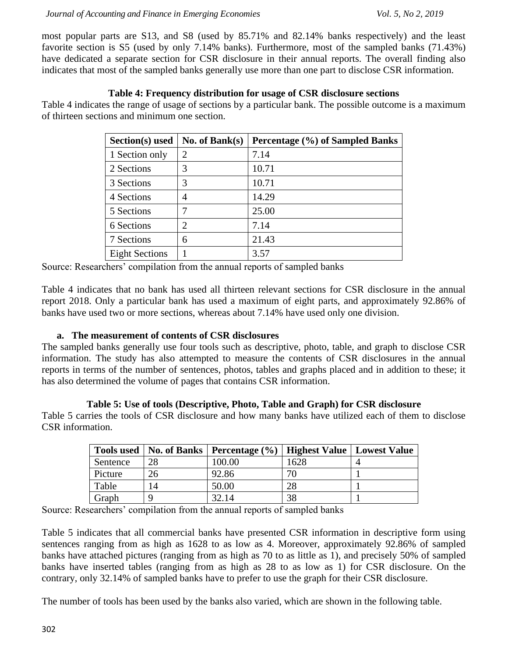most popular parts are S13, and S8 (used by 85.71% and 82.14% banks respectively) and the least favorite section is S5 (used by only 7.14% banks). Furthermore, most of the sampled banks (71.43%) have dedicated a separate section for CSR disclosure in their annual reports. The overall finding also indicates that most of the sampled banks generally use more than one part to disclose CSR information.

#### **Table 4: Frequency distribution for usage of CSR disclosure sections**

Table 4 indicates the range of usage of sections by a particular bank. The possible outcome is a maximum of thirteen sections and minimum one section.

| Section(s) used       | No. of $Bank(s)$ | Percentage (%) of Sampled Banks |
|-----------------------|------------------|---------------------------------|
| 1 Section only        | $\overline{2}$   | 7.14                            |
| 2 Sections            | 3                | 10.71                           |
| 3 Sections            | 3                | 10.71                           |
| 4 Sections            | 4                | 14.29                           |
| 5 Sections            | 7                | 25.00                           |
| 6 Sections            | $\mathfrak{D}$   | 7.14                            |
| 7 Sections            | 6                | 21.43                           |
| <b>Eight Sections</b> |                  | 3.57                            |

Source: Researchers' compilation from the annual reports of sampled banks

Table 4 indicates that no bank has used all thirteen relevant sections for CSR disclosure in the annual report 2018. Only a particular bank has used a maximum of eight parts, and approximately 92.86% of banks have used two or more sections, whereas about 7.14% have used only one division.

# **a. The measurement of contents of CSR disclosures**

The sampled banks generally use four tools such as descriptive, photo, table, and graph to disclose CSR information. The study has also attempted to measure the contents of CSR disclosures in the annual reports in terms of the number of sentences, photos, tables and graphs placed and in addition to these; it has also determined the volume of pages that contains CSR information.

#### **Table 5: Use of tools (Descriptive, Photo, Table and Graph) for CSR disclosure**

Table 5 carries the tools of CSR disclosure and how many banks have utilized each of them to disclose CSR information.

|          |    | Tools used   No. of Banks   Percentage (%)   Highest Value   Lowest Value |      |  |
|----------|----|---------------------------------------------------------------------------|------|--|
| Sentence | 28 | 100.00                                                                    | 1628 |  |
| Picture  | 26 | 92.86                                                                     | 70   |  |
| Table    | 14 | 50.00                                                                     | 28   |  |
| Graph    |    | 32.14                                                                     | 38   |  |

Source: Researchers' compilation from the annual reports of sampled banks

Table 5 indicates that all commercial banks have presented CSR information in descriptive form using sentences ranging from as high as 1628 to as low as 4. Moreover, approximately 92.86% of sampled banks have attached pictures (ranging from as high as 70 to as little as 1), and precisely 50% of sampled banks have inserted tables (ranging from as high as 28 to as low as 1) for CSR disclosure. On the contrary, only 32.14% of sampled banks have to prefer to use the graph for their CSR disclosure.

The number of tools has been used by the banks also varied, which are shown in the following table.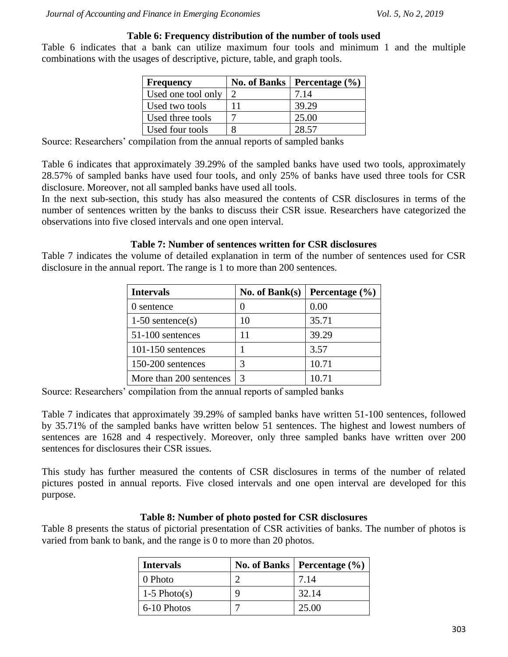#### **Table 6: Frequency distribution of the number of tools used**

Table 6 indicates that a bank can utilize maximum four tools and minimum 1 and the multiple combinations with the usages of descriptive, picture, table, and graph tools.

| <b>Frequency</b>   | <b>No. of Banks</b> | Percentage $(\% )$ |
|--------------------|---------------------|--------------------|
| Used one tool only |                     | 7.14               |
| Used two tools     |                     | 39.29              |
| Used three tools   |                     | 25.00              |
| Used four tools    |                     | 28.57              |

Source: Researchers' compilation from the annual reports of sampled banks

Table 6 indicates that approximately 39.29% of the sampled banks have used two tools, approximately 28.57% of sampled banks have used four tools, and only 25% of banks have used three tools for CSR disclosure. Moreover, not all sampled banks have used all tools.

In the next sub-section, this study has also measured the contents of CSR disclosures in terms of the number of sentences written by the banks to discuss their CSR issue. Researchers have categorized the observations into five closed intervals and one open interval.

#### **Table 7: Number of sentences written for CSR disclosures**

Table 7 indicates the volume of detailed explanation in term of the number of sentences used for CSR disclosure in the annual report. The range is 1 to more than 200 sentences.

| <b>Intervals</b>        | No. of $Bank(s)$ | Percentage (%) |
|-------------------------|------------------|----------------|
| () sentence             | 0                | 0.00           |
| $1-50$ sentence(s)      | I ( )            | 35.71          |
| 51-100 sentences        | l 1              | 39.29          |
| $101-150$ sentences     |                  | 3.57           |
| 150-200 sentences       | 3                | 10.71          |
| More than 200 sentences | 3                | 10.71          |

Source: Researchers' compilation from the annual reports of sampled banks

Table 7 indicates that approximately 39.29% of sampled banks have written 51-100 sentences, followed by 35.71% of the sampled banks have written below 51 sentences. The highest and lowest numbers of sentences are 1628 and 4 respectively. Moreover, only three sampled banks have written over 200 sentences for disclosures their CSR issues.

This study has further measured the contents of CSR disclosures in terms of the number of related pictures posted in annual reports. Five closed intervals and one open interval are developed for this purpose.

#### **Table 8: Number of photo posted for CSR disclosures**

Table 8 presents the status of pictorial presentation of CSR activities of banks. The number of photos is varied from bank to bank, and the range is 0 to more than 20 photos.

| Intervals      |   | No. of Banks   Percentage $(\% )$ |
|----------------|---|-----------------------------------|
| 0 Photo        | ി | 7.14                              |
| $1-5$ Photo(s) | q | 32.14                             |
| 6-10 Photos    |   | 25.00                             |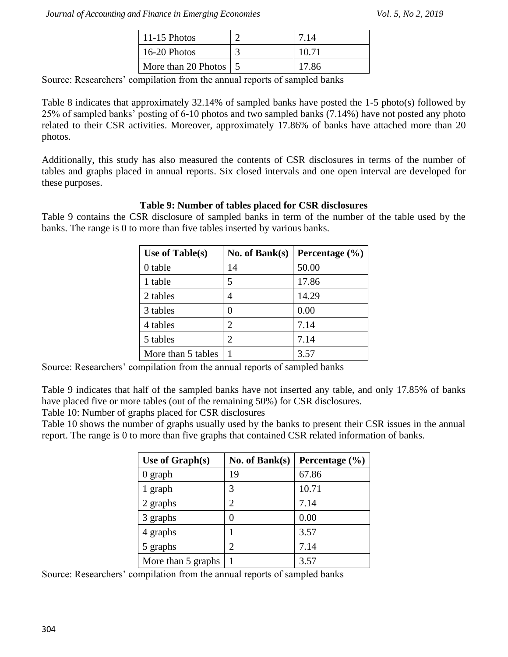| $\mid$ 11-15 Photos    | 7.14  |
|------------------------|-------|
| $16-20$ Photos         | 10.71 |
| More than 20 Photos 15 | 17.86 |

Source: Researchers' compilation from the annual reports of sampled banks

Table 8 indicates that approximately 32.14% of sampled banks have posted the 1-5 photo(s) followed by 25% of sampled banks' posting of 6-10 photos and two sampled banks (7.14%) have not posted any photo related to their CSR activities. Moreover, approximately 17.86% of banks have attached more than 20 photos.

Additionally, this study has also measured the contents of CSR disclosures in terms of the number of tables and graphs placed in annual reports. Six closed intervals and one open interval are developed for these purposes.

# **Table 9: Number of tables placed for CSR disclosures**

Table 9 contains the CSR disclosure of sampled banks in term of the number of the table used by the banks. The range is 0 to more than five tables inserted by various banks.

| Use of $Table(s)$  | No. of $Bank(s)$      | Percentage $(\% )$ |
|--------------------|-----------------------|--------------------|
| 0 table            | 14                    | 50.00              |
| 1 table            | 5                     | 17.86              |
| 2 tables           |                       | 14.29              |
| 3 tables           | ∩                     | 0.00               |
| 4 tables           | $\mathcal{D}_{\cdot}$ | 7.14               |
| 5 tables           | 2                     | 7.14               |
| More than 5 tables |                       | 3.57               |

Source: Researchers' compilation from the annual reports of sampled banks

Table 9 indicates that half of the sampled banks have not inserted any table, and only 17.85% of banks have placed five or more tables (out of the remaining 50%) for CSR disclosures.

Table 10: Number of graphs placed for CSR disclosures

Table 10 shows the number of graphs usually used by the banks to present their CSR issues in the annual report. The range is 0 to more than five graphs that contained CSR related information of banks.

| Use of $Graph(s)$  | No. of $Bank(s)$ | Percentage $(\% )$ |
|--------------------|------------------|--------------------|
| $0$ graph          | 19               | 67.86              |
| 1 graph            | 3                | 10.71              |
| 2 graphs           | 2                | 7.14               |
| 3 graphs           |                  | 0.00               |
| 4 graphs           |                  | 3.57               |
| 5 graphs           | $\overline{2}$   | 7.14               |
| More than 5 graphs |                  | 3.57               |

Source: Researchers' compilation from the annual reports of sampled banks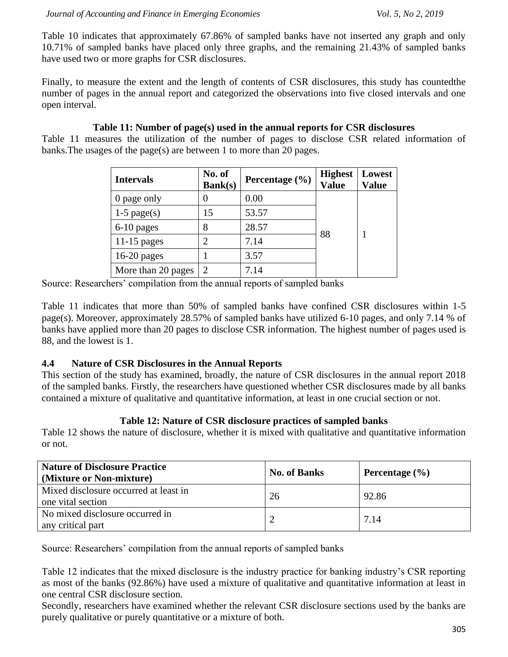Table 10 indicates that approximately 67.86% of sampled banks have not inserted any graph and only 10.71% of sampled banks have placed only three graphs, and the remaining 21.43% of sampled banks have used two or more graphs for CSR disclosures.

Finally, to measure the extent and the length of contents of CSR disclosures, this study has countedthe number of pages in the annual report and categorized the observations into five closed intervals and one open interval.

**Table 11: Number of page(s) used in the annual reports for CSR disclosures** Table 11 measures the utilization of the number of pages to disclose CSR related information of banks.The usages of the page(s) are between 1 to more than 20 pages.

| <b>Intervals</b>   | No. of<br><b>Bank(s)</b> | Percentage $(\% )$ | <b>Highest</b><br><b>Value</b> | Lowest<br><b>Value</b> |  |
|--------------------|--------------------------|--------------------|--------------------------------|------------------------|--|
| 0 page only        |                          | 0.00               |                                |                        |  |
| $1-5$ page(s)      | 15                       | 53.57              |                                |                        |  |
| $6-10$ pages       | 8                        | 28.57              | 88                             |                        |  |
| $11-15$ pages      |                          | 7.14               |                                |                        |  |
| $16-20$ pages      |                          | 3.57               |                                |                        |  |
| More than 20 pages |                          | 7.14               |                                |                        |  |

Source: Researchers' compilation from the annual reports of sampled banks

Table 11 indicates that more than 50% of sampled banks have confined CSR disclosures within 1-5 page(s). Moreover, approximately 28.57% of sampled banks have utilized 6-10 pages, and only 7.14 % of banks have applied more than 20 pages to disclose CSR information. The highest number of pages used is 88, and the lowest is 1.

#### **4.4 Nature of CSR Disclosures in the Annual Reports**

This section of the study has examined, broadly, the nature of CSR disclosures in the annual report 2018 of the sampled banks. Firstly, the researchers have questioned whether CSR disclosures made by all banks contained a mixture of qualitative and quantitative information, at least in one crucial section or not.

#### **Table 12: Nature of CSR disclosure practices of sampled banks**

Table 12 shows the nature of disclosure, whether it is mixed with qualitative and quantitative information or not.

| <b>Nature of Disclosure Practice</b><br>(Mixture or Non-mixture) | <b>No. of Banks</b> | Percentage $(\% )$ |
|------------------------------------------------------------------|---------------------|--------------------|
| Mixed disclosure occurred at least in<br>one vital section       | 26                  | 92.86              |
| No mixed disclosure occurred in<br>any critical part             |                     | 7.14               |

Source: Researchers' compilation from the annual reports of sampled banks

Table 12 indicates that the mixed disclosure is the industry practice for banking industry's CSR reporting as most of the banks (92.86%) have used a mixture of qualitative and quantitative information at least in one central CSR disclosure section.

Secondly, researchers have examined whether the relevant CSR disclosure sections used by the banks are purely qualitative or purely quantitative or a mixture of both.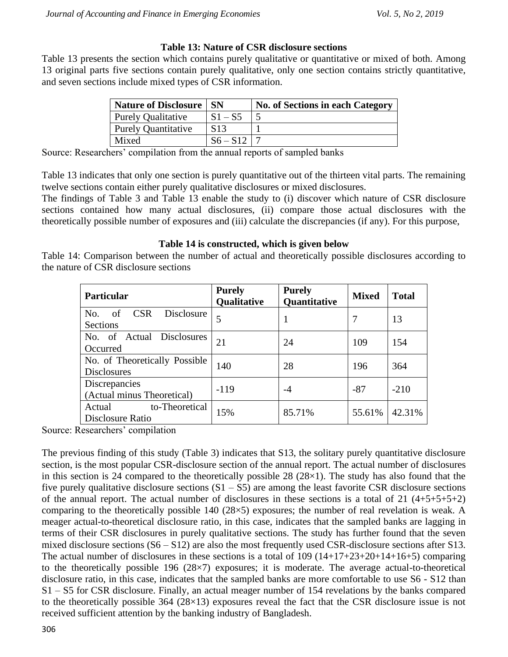#### **Table 13: Nature of CSR disclosure sections**

Table 13 presents the section which contains purely qualitative or quantitative or mixed of both. Among 13 original parts five sections contain purely qualitative, only one section contains strictly quantitative, and seven sections include mixed types of CSR information.

| <b>Nature of Disclosure</b> | -SN             | <b>No. of Sections in each Category</b> |
|-----------------------------|-----------------|-----------------------------------------|
| <b>Purely Qualitative</b>   | $S1 - S5$       |                                         |
| <b>Purely Quantitative</b>  | S <sub>13</sub> |                                         |
| Mixed                       | $S6 - S12$      |                                         |

Source: Researchers' compilation from the annual reports of sampled banks

Table 13 indicates that only one section is purely quantitative out of the thirteen vital parts. The remaining twelve sections contain either purely qualitative disclosures or mixed disclosures.

The findings of Table 3 and Table 13 enable the study to (i) discover which nature of CSR disclosure sections contained how many actual disclosures, (ii) compare those actual disclosures with the theoretically possible number of exposures and (iii) calculate the discrepancies (if any). For this purpose,

#### **Table 14 is constructed, which is given below**

Table 14: Comparison between the number of actual and theoretically possible disclosures according to the nature of CSR disclosure sections

| <b>Particular</b>                                   | <b>Purely</b><br>Qualitative | <b>Purely</b><br>Quantitative | <b>Mixed</b> | <b>Total</b> |
|-----------------------------------------------------|------------------------------|-------------------------------|--------------|--------------|
| of<br><b>CSR</b><br>No.<br>Disclosure<br>Sections   | 5                            |                               |              | 13           |
| No. of Actual Disclosures<br>Occurred               | 21                           | 24                            | 109          | 154          |
| No. of Theoretically Possible<br><b>Disclosures</b> | 140                          | 28                            | 196          | 364          |
| Discrepancies<br>(Actual minus Theoretical)         | $-119$                       | -4                            | $-87$        | $-210$       |
| to-Theoretical<br>Actual<br>Disclosure Ratio        | 15%                          | 85.71%                        | 55.61%       | 42.31%       |

Source: Researchers' compilation

The previous finding of this study (Table 3) indicates that S13, the solitary purely quantitative disclosure section, is the most popular CSR-disclosure section of the annual report. The actual number of disclosures in this section is 24 compared to the theoretically possible 28 (28×1). The study has also found that the five purely qualitative disclosure sections  $(S1 - S5)$  are among the least favorite CSR disclosure sections of the annual report. The actual number of disclosures in these sections is a total of 21 (4+5+5+5+2) comparing to the theoretically possible 140 (28×5) exposures; the number of real revelation is weak. A meager actual-to-theoretical disclosure ratio, in this case, indicates that the sampled banks are lagging in terms of their CSR disclosures in purely qualitative sections. The study has further found that the seven mixed disclosure sections (S6 – S12) are also the most frequently used CSR-disclosure sections after S13. The actual number of disclosures in these sections is a total of  $109 (14+17+23+20+14+16+5)$  comparing to the theoretically possible 196 (28×7) exposures; it is moderate. The average actual-to-theoretical disclosure ratio, in this case, indicates that the sampled banks are more comfortable to use S6 - S12 than S1 – S5 for CSR disclosure. Finally, an actual meager number of 154 revelations by the banks compared to the theoretically possible 364 (28×13) exposures reveal the fact that the CSR disclosure issue is not received sufficient attention by the banking industry of Bangladesh.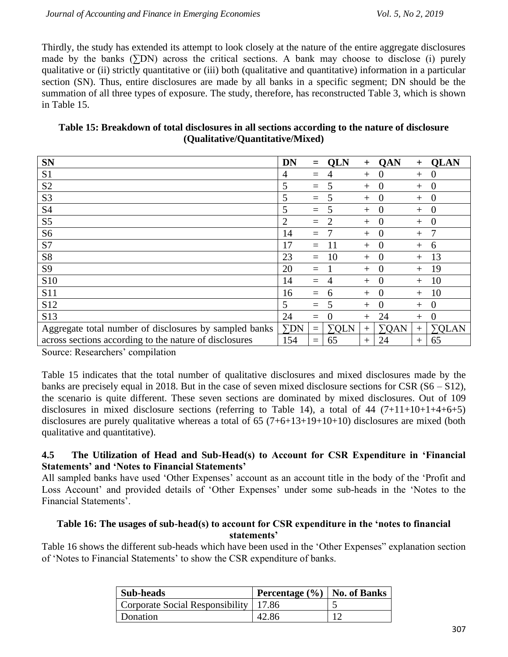Thirdly, the study has extended its attempt to look closely at the nature of the entire aggregate disclosures made by the banks ( $\Sigma$ DN) across the critical sections. A bank may choose to disclose (i) purely qualitative or (ii) strictly quantitative or (iii) both (qualitative and quantitative) information in a particular section (SN). Thus, entire disclosures are made by all banks in a specific segment; DN should be the summation of all three types of exposure. The study, therefore, has reconstructed Table 3, which is shown in Table 15.

| Table 15: Breakdown of total disclosures in all sections according to the nature of disclosure |
|------------------------------------------------------------------------------------------------|
| (Qualitative/Quantitative/Mixed)                                                               |

| <b>SN</b>                                              | <b>DN</b>      | $=$      | <b>OLN</b>     | $+$    | QAN            | $+$    | <b>OLAN</b>    |
|--------------------------------------------------------|----------------|----------|----------------|--------|----------------|--------|----------------|
| S1                                                     | $\overline{4}$ | $=$      |                | $^{+}$ | $\theta$       | $+$    | $\theta$       |
| S <sub>2</sub>                                         | 5              | $=$      | 5              | $^{+}$ | $\overline{0}$ | $+$    | $\overline{0}$ |
| S <sub>3</sub>                                         | 5              | $=$      | 5              | $^{+}$ | $\theta$       | $+$    | $\theta$       |
| <b>S4</b>                                              | 5              | $\equiv$ | 5              | $+$    | $\theta$       | $+$    | $\theta$       |
| S <sub>5</sub>                                         | $\overline{2}$ | $=$      | $\overline{2}$ | $^{+}$ | $\overline{0}$ | $^{+}$ | $\overline{0}$ |
| S <sub>6</sub>                                         | 14             | $=$      |                | $+$    | $\overline{0}$ | $+$    | 7              |
| S7                                                     | 17             | $=$      | 11             | $^{+}$ | $\overline{0}$ | $+$    | 6              |
| S <sub>8</sub>                                         | 23             | $=$      | 10             | $+$    | $\overline{0}$ | $+$    | 13             |
| S <sub>9</sub>                                         | 20             | $=$      |                | $^{+}$ | $\overline{0}$ | $^{+}$ | 19             |
| S10                                                    | 14             | $=$      |                | $+$    | $\overline{0}$ | $+$    | 10             |
| S11                                                    | 16             | $\equiv$ | 6              | $+$    | $\theta$       | $+$    | 10             |
| S12                                                    | 5              | $=$      | 5              | $+$    | $\theta$       | $^{+}$ | $\theta$       |
| S <sub>13</sub>                                        | 24             | $=$      | $\Omega$       | $+$    | 24             | $^{+}$ | $\theta$       |
| Aggregate total number of disclosures by sampled banks | $\Sigma$ DN    | $\equiv$ | $\Sigma QLN$   | $^{+}$ | $\Sigma QAN$   | $+$    | $\Sigma Q$ LAN |
| across sections according to the nature of disclosures | 154            | $=$      | 65             | $^{+}$ | 24             | $^{+}$ | 65             |

Source: Researchers' compilation

Table 15 indicates that the total number of qualitative disclosures and mixed disclosures made by the banks are precisely equal in 2018. But in the case of seven mixed disclosure sections for CSR (S6 – S12), the scenario is quite different. These seven sections are dominated by mixed disclosures. Out of 109 disclosures in mixed disclosure sections (referring to Table 14), a total of  $44$   $(7+11+10+1+4+6+5)$ disclosures are purely qualitative whereas a total of  $65 (7+6+13+19+10+10)$  disclosures are mixed (both qualitative and quantitative).

## **4.5 The Utilization of Head and Sub-Head(s) to Account for CSR Expenditure in 'Financial Statements' and 'Notes to Financial Statements'**

All sampled banks have used 'Other Expenses' account as an account title in the body of the 'Profit and Loss Account' and provided details of 'Other Expenses' under some sub-heads in the 'Notes to the Financial Statements'.

# **Table 16: The usages of sub-head(s) to account for CSR expenditure in the 'notes to financial statements'**

Table 16 shows the different sub-heads which have been used in the 'Other Expenses" explanation section of 'Notes to Financial Statements' to show the CSR expenditure of banks.

| <b>Sub-heads</b>                        | <b>Percentage</b> $(\% )$   No. of Banks |        |
|-----------------------------------------|------------------------------------------|--------|
| Corporate Social Responsibility   17.86 |                                          | ັ      |
| Donation                                | 42.86                                    | $\sim$ |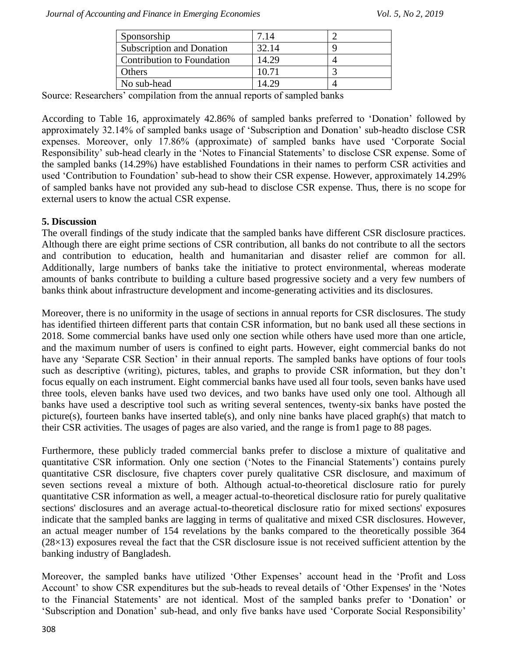| Sponsorship                      | 7.14  |  |
|----------------------------------|-------|--|
| <b>Subscription and Donation</b> | 32.14 |  |
| Contribution to Foundation       | 14.29 |  |
| Others                           | 10.71 |  |
| No sub-head                      |       |  |

Source: Researchers' compilation from the annual reports of sampled banks

According to Table 16, approximately 42.86% of sampled banks preferred to 'Donation' followed by approximately 32.14% of sampled banks usage of 'Subscription and Donation' sub-headto disclose CSR expenses. Moreover, only 17.86% (approximate) of sampled banks have used 'Corporate Social Responsibility' sub-head clearly in the 'Notes to Financial Statements' to disclose CSR expense. Some of the sampled banks (14.29%) have established Foundations in their names to perform CSR activities and used 'Contribution to Foundation' sub-head to show their CSR expense. However, approximately 14.29% of sampled banks have not provided any sub-head to disclose CSR expense. Thus, there is no scope for external users to know the actual CSR expense.

#### **5. Discussion**

The overall findings of the study indicate that the sampled banks have different CSR disclosure practices. Although there are eight prime sections of CSR contribution, all banks do not contribute to all the sectors and contribution to education, health and humanitarian and disaster relief are common for all. Additionally, large numbers of banks take the initiative to protect environmental, whereas moderate amounts of banks contribute to building a culture based progressive society and a very few numbers of banks think about infrastructure development and income-generating activities and its disclosures.

Moreover, there is no uniformity in the usage of sections in annual reports for CSR disclosures. The study has identified thirteen different parts that contain CSR information, but no bank used all these sections in 2018. Some commercial banks have used only one section while others have used more than one article, and the maximum number of users is confined to eight parts. However, eight commercial banks do not have any 'Separate CSR Section' in their annual reports. The sampled banks have options of four tools such as descriptive (writing), pictures, tables, and graphs to provide CSR information, but they don't focus equally on each instrument. Eight commercial banks have used all four tools, seven banks have used three tools, eleven banks have used two devices, and two banks have used only one tool. Although all banks have used a descriptive tool such as writing several sentences, twenty-six banks have posted the picture(s), fourteen banks have inserted table(s), and only nine banks have placed graph(s) that match to their CSR activities. The usages of pages are also varied, and the range is from1 page to 88 pages.

Furthermore, these publicly traded commercial banks prefer to disclose a mixture of qualitative and quantitative CSR information. Only one section ('Notes to the Financial Statements') contains purely quantitative CSR disclosure, five chapters cover purely qualitative CSR disclosure, and maximum of seven sections reveal a mixture of both. Although actual-to-theoretical disclosure ratio for purely quantitative CSR information as well, a meager actual-to-theoretical disclosure ratio for purely qualitative sections' disclosures and an average actual-to-theoretical disclosure ratio for mixed sections' exposures indicate that the sampled banks are lagging in terms of qualitative and mixed CSR disclosures. However, an actual meager number of 154 revelations by the banks compared to the theoretically possible 364  $(28\times13)$  exposures reveal the fact that the CSR disclosure issue is not received sufficient attention by the banking industry of Bangladesh.

Moreover, the sampled banks have utilized 'Other Expenses' account head in the 'Profit and Loss Account' to show CSR expenditures but the sub-heads to reveal details of 'Other Expenses' in the 'Notes to the Financial Statements' are not identical. Most of the sampled banks prefer to 'Donation' or 'Subscription and Donation' sub-head, and only five banks have used 'Corporate Social Responsibility'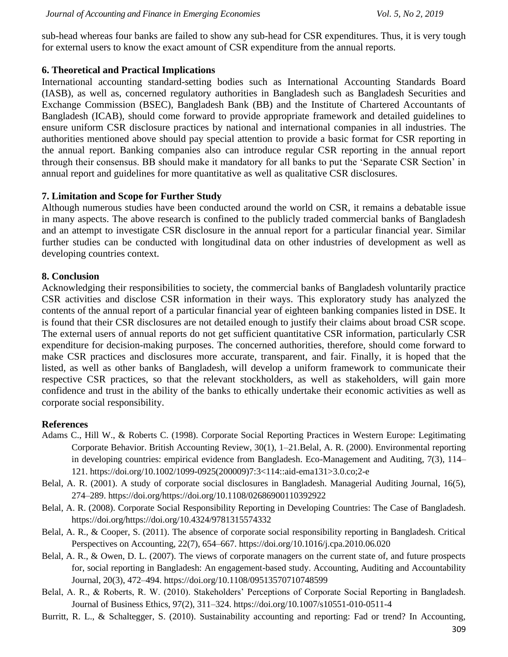sub-head whereas four banks are failed to show any sub-head for CSR expenditures. Thus, it is very tough for external users to know the exact amount of CSR expenditure from the annual reports.

#### **6. Theoretical and Practical Implications**

International accounting standard-setting bodies such as International Accounting Standards Board (IASB), as well as, concerned regulatory authorities in Bangladesh such as Bangladesh Securities and Exchange Commission (BSEC), Bangladesh Bank (BB) and the Institute of Chartered Accountants of Bangladesh (ICAB), should come forward to provide appropriate framework and detailed guidelines to ensure uniform CSR disclosure practices by national and international companies in all industries. The authorities mentioned above should pay special attention to provide a basic format for CSR reporting in the annual report. Banking companies also can introduce regular CSR reporting in the annual report through their consensus. BB should make it mandatory for all banks to put the 'Separate CSR Section' in annual report and guidelines for more quantitative as well as qualitative CSR disclosures.

#### **7. Limitation and Scope for Further Study**

Although numerous studies have been conducted around the world on CSR, it remains a debatable issue in many aspects. The above research is confined to the publicly traded commercial banks of Bangladesh and an attempt to investigate CSR disclosure in the annual report for a particular financial year. Similar further studies can be conducted with longitudinal data on other industries of development as well as developing countries context.

#### **8. Conclusion**

Acknowledging their responsibilities to society, the commercial banks of Bangladesh voluntarily practice CSR activities and disclose CSR information in their ways. This exploratory study has analyzed the contents of the annual report of a particular financial year of eighteen banking companies listed in DSE. It is found that their CSR disclosures are not detailed enough to justify their claims about broad CSR scope. The external users of annual reports do not get sufficient quantitative CSR information, particularly CSR expenditure for decision-making purposes. The concerned authorities, therefore, should come forward to make CSR practices and disclosures more accurate, transparent, and fair. Finally, it is hoped that the listed, as well as other banks of Bangladesh, will develop a uniform framework to communicate their respective CSR practices, so that the relevant stockholders, as well as stakeholders, will gain more confidence and trust in the ability of the banks to ethically undertake their economic activities as well as corporate social responsibility.

#### **References**

- Adams C., Hill W., & Roberts C. (1998). Corporate Social Reporting Practices in Western Europe: Legitimating Corporate Behavior. British Accounting Review, 30(1), 1–21.Belal, A. R. (2000). Environmental reporting in developing countries: empirical evidence from Bangladesh. Eco-Management and Auditing, 7(3), 114– 121. https://doi.org/10.1002/1099-0925(200009)7:3<114::aid-ema131>3.0.co;2-e
- Belal, A. R. (2001). A study of corporate social disclosures in Bangladesh. Managerial Auditing Journal, 16(5), 274–289. https://doi.org/https://doi.org/10.1108/02686900110392922
- Belal, A. R. (2008). Corporate Social Responsibility Reporting in Developing Countries: The Case of Bangladesh. https://doi.org/https://doi.org/10.4324/9781315574332
- Belal, A. R., & Cooper, S. (2011). The absence of corporate social responsibility reporting in Bangladesh. Critical Perspectives on Accounting, 22(7), 654–667. https://doi.org/10.1016/j.cpa.2010.06.020
- Belal, A. R., & Owen, D. L. (2007). The views of corporate managers on the current state of, and future prospects for, social reporting in Bangladesh: An engagement-based study. Accounting, Auditing and Accountability Journal, 20(3), 472–494. https://doi.org/10.1108/09513570710748599
- Belal, A. R., & Roberts, R. W. (2010). Stakeholders' Perceptions of Corporate Social Reporting in Bangladesh. Journal of Business Ethics, 97(2), 311–324. https://doi.org/10.1007/s10551-010-0511-4
- Burritt, R. L., & Schaltegger, S. (2010). Sustainability accounting and reporting: Fad or trend? In Accounting,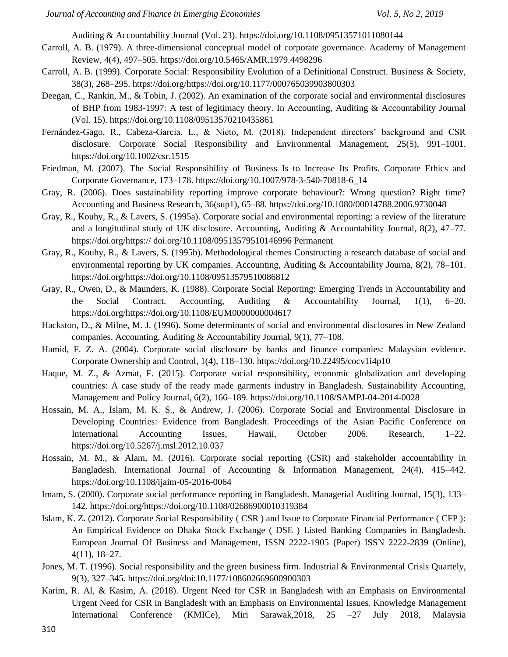Auditing & Accountability Journal (Vol. 23). https://doi.org/10.1108/09513571011080144

- Carroll, A. B. (1979). A three-dimensional conceptual model of corporate governance. Academy of Management Review, 4(4), 497–505. https://doi.org/10.5465/AMR.1979.4498296
- Carroll, A. B. (1999). Corporate Social: Responsibility Evolution of a Definitional Construct. Business & Society, 38(3), 268–295. https://doi.org/https://doi.org/10.1177/000765039903800303
- Deegan, C., Rankin, M., & Tobin, J. (2002). An examination of the corporate social and environmental disclosures of BHP from 1983-1997: A test of legitimacy theory. In Accounting, Auditing & Accountability Journal (Vol. 15). https://doi.org/10.1108/09513570210435861
- Fernández-Gago, R., Cabeza-García, L., & Nieto, M. (2018). Independent directors' background and CSR disclosure. Corporate Social Responsibility and Environmental Management, 25(5), 991–1001. https://doi.org/10.1002/csr.1515
- Friedman, M. (2007). The Social Responsibility of Business Is to Increase Its Profits. Corporate Ethics and Corporate Governance, 173–178. https://doi.org/10.1007/978-3-540-70818-6\_14
- Gray, R. (2006). Does sustainability reporting improve corporate behaviour?: Wrong question? Right time? Accounting and Business Research, 36(sup1), 65–88. https://doi.org/10.1080/00014788.2006.9730048
- Gray, R., Kouhy, R., & Lavers, S. (1995a). Corporate social and environmental reporting: a review of the literature and a longitudinal study of UK disclosure. Accounting, Auditing & Accountability Journal, 8(2), 47–77. https://doi.org/https:// doi.org/10.1108/09513579510146996 Permanent
- Gray, R., Kouhy, R., & Lavers, S. (1995b). Methodological themes Constructing a research database of social and environmental reporting by UK companies. Accounting, Auditing & Accountability Journa, 8(2), 78–101. https://doi.org/https://doi.org/10.1108/09513579510086812
- Gray, R., Owen, D., & Maunders, K. (1988). Corporate Social Reporting: Emerging Trends in Accountability and the Social Contract. Accounting, Auditing & Accountability Journal, 1(1), 6–20. https://doi.org/https://doi.org/10.1108/EUM0000000004617
- Hackston, D., & Milne, M. J. (1996). Some determinants of social and environmental disclosures in New Zealand companies. Accounting, Auditing & Accountability Journal, 9(1), 77–108.
- Hamid, F. Z. A. (2004). Corporate social disclosure by banks and finance companies: Malaysian evidence. Corporate Ownership and Control, 1(4), 118–130. https://doi.org/10.22495/cocv1i4p10
- Haque, M. Z., & Azmat, F. (2015). Corporate social responsibility, economic globalization and developing countries: A case study of the ready made garments industry in Bangladesh. Sustainability Accounting, Management and Policy Journal, 6(2), 166–189. https://doi.org/10.1108/SAMPJ-04-2014-0028
- Hossain, M. A., Islam, M. K. S., & Andrew, J. (2006). Corporate Social and Environmental Disclosure in Developing Countries: Evidence from Bangladesh. Proceedings of the Asian Pacific Conference on International Accounting Issues, Hawaii, October 2006. Research, 1–22. https://doi.org/10.5267/j.msl.2012.10.037
- Hossain, M. M., & Alam, M. (2016). Corporate social reporting (CSR) and stakeholder accountability in Bangladesh. International Journal of Accounting & Information Management, 24(4), 415–442. https://doi.org/10.1108/ijaim-05-2016-0064
- Imam, S. (2000). Corporate social performance reporting in Bangladesh. Managerial Auditing Journal, 15(3), 133– 142. https://doi.org/https://doi.org/10.1108/02686900010319384
- Islam, K. Z. (2012). Corporate Social Responsibility ( CSR ) and Issue to Corporate Financial Performance ( CFP ): An Empirical Evidence on Dhaka Stock Exchange ( DSE ) Listed Banking Companies in Bangladesh. European Journal Of Business and Management, ISSN 2222-1905 (Paper) ISSN 2222-2839 (Online), 4(11), 18–27.
- Jones, M. T. (1996). Social responsibility and the green business firm. Industrial & Environmental Crisis Quartely, 9(3), 327–345. https://doi.org/doi:10.1177/108602669600900303
- Karim, R. Al, & Kasim, A. (2018). Urgent Need for CSR in Bangladesh with an Emphasis on Environmental Urgent Need for CSR in Bangladesh with an Emphasis on Environmental Issues. Knowledge Management International Conference (KMICe), Miri Sarawak,2018, 25 –27 July 2018, Malaysia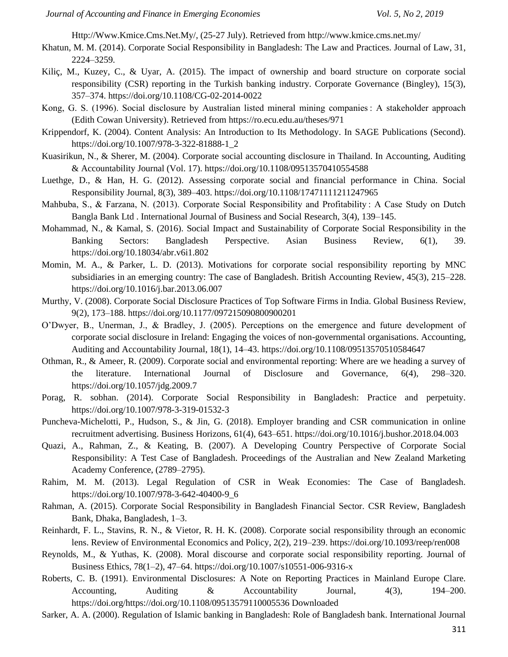Http://Www.Kmice.Cms.Net.My/, (25-27 July). Retrieved from http://www.kmice.cms.net.my/

- Khatun, M. M. (2014). Corporate Social Responsibility in Bangladesh: The Law and Practices. Journal of Law, 31, 2224–3259.
- Kiliç, M., Kuzey, C., & Uyar, A. (2015). The impact of ownership and board structure on corporate social responsibility (CSR) reporting in the Turkish banking industry. Corporate Governance (Bingley), 15(3), 357–374. https://doi.org/10.1108/CG-02-2014-0022
- Kong, G. S. (1996). Social disclosure by Australian listed mineral mining companies : A stakeholder approach (Edith Cowan University). Retrieved from https://ro.ecu.edu.au/theses/971
- Krippendorf, K. (2004). Content Analysis: An Introduction to Its Methodology. In SAGE Publications (Second). https://doi.org/10.1007/978-3-322-81888-1\_2
- Kuasirikun, N., & Sherer, M. (2004). Corporate social accounting disclosure in Thailand. In Accounting, Auditing & Accountability Journal (Vol. 17). https://doi.org/10.1108/09513570410554588
- Luethge, D., & Han, H. G. (2012). Assessing corporate social and financial performance in China. Social Responsibility Journal, 8(3), 389–403. https://doi.org/10.1108/17471111211247965
- Mahbuba, S., & Farzana, N. (2013). Corporate Social Responsibility and Profitability : A Case Study on Dutch Bangla Bank Ltd . International Journal of Business and Social Research, 3(4), 139–145.
- Mohammad, N., & Kamal, S. (2016). Social Impact and Sustainability of Corporate Social Responsibility in the Banking Sectors: Bangladesh Perspective. Asian Business Review, 6(1), 39. https://doi.org/10.18034/abr.v6i1.802
- Momin, M. A., & Parker, L. D. (2013). Motivations for corporate social responsibility reporting by MNC subsidiaries in an emerging country: The case of Bangladesh. British Accounting Review, 45(3), 215–228. https://doi.org/10.1016/j.bar.2013.06.007
- Murthy, V. (2008). Corporate Social Disclosure Practices of Top Software Firms in India. Global Business Review, 9(2), 173–188. https://doi.org/10.1177/097215090800900201
- O'Dwyer, B., Unerman, J., & Bradley, J. (2005). Perceptions on the emergence and future development of corporate social disclosure in Ireland: Engaging the voices of non-governmental organisations. Accounting, Auditing and Accountability Journal, 18(1), 14–43. https://doi.org/10.1108/09513570510584647
- Othman, R., & Ameer, R. (2009). Corporate social and environmental reporting: Where are we heading a survey of the literature. International Journal of Disclosure and Governance, 6(4), 298–320. https://doi.org/10.1057/jdg.2009.7
- Porag, R. sobhan. (2014). Corporate Social Responsibility in Bangladesh: Practice and perpetuity. https://doi.org/10.1007/978-3-319-01532-3
- Puncheva-Michelotti, P., Hudson, S., & Jin, G. (2018). Employer branding and CSR communication in online recruitment advertising. Business Horizons, 61(4), 643–651. https://doi.org/10.1016/j.bushor.2018.04.003
- Quazi, A., Rahman, Z., & Keating, B. (2007). A Developing Country Perspective of Corporate Social Responsibility: A Test Case of Bangladesh. Proceedings of the Australian and New Zealand Marketing Academy Conference, (2789–2795).
- Rahim, M. M. (2013). Legal Regulation of CSR in Weak Economies: The Case of Bangladesh. https://doi.org/10.1007/978-3-642-40400-9\_6
- Rahman, A. (2015). Corporate Social Responsibility in Bangladesh Financial Sector. CSR Review, Bangladesh Bank, Dhaka, Bangladesh, 1–3.
- Reinhardt, F. L., Stavins, R. N., & Vietor, R. H. K. (2008). Corporate social responsibility through an economic lens. Review of Environmental Economics and Policy, 2(2), 219–239. https://doi.org/10.1093/reep/ren008
- Reynolds, M., & Yuthas, K. (2008). Moral discourse and corporate social responsibility reporting. Journal of Business Ethics, 78(1–2), 47–64. https://doi.org/10.1007/s10551-006-9316-x
- Roberts, C. B. (1991). Environmental Disclosures: A Note on Reporting Practices in Mainland Europe Clare. Accounting, Auditing & Accountability Journal, 4(3), 194–200. https://doi.org/https://doi.org/10.1108/09513579110005536 Downloaded
- Sarker, A. A. (2000). Regulation of Islamic banking in Bangladesh: Role of Bangladesh bank. International Journal